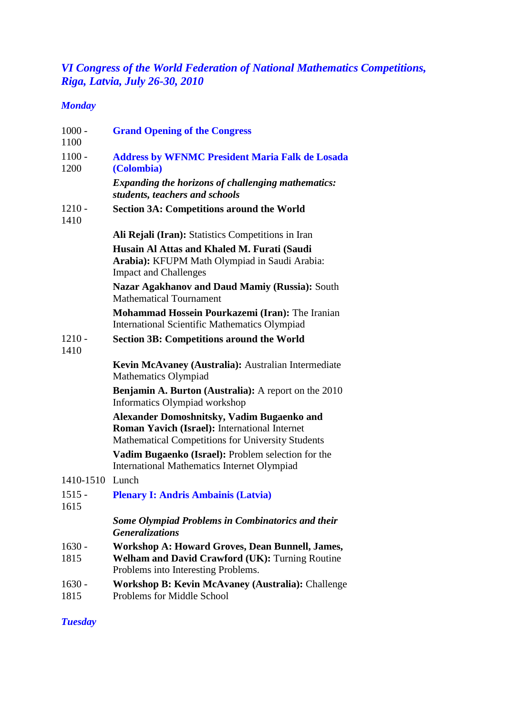### *VI Congress of the World Federation of National Mathematics Competitions, Riga, Latvia, July 26-30, 2010*

### *Monday*

| $1000 -$<br>1100 | <b>Grand Opening of the Congress</b>                                                                                                                    |
|------------------|---------------------------------------------------------------------------------------------------------------------------------------------------------|
| $1100 -$<br>1200 | <b>Address by WFNMC President Maria Falk de Losada</b><br>(Colombia)                                                                                    |
|                  | <b>Expanding the horizons of challenging mathematics:</b><br>students, teachers and schools                                                             |
| $1210 -$<br>1410 | <b>Section 3A: Competitions around the World</b>                                                                                                        |
|                  | Ali Rejali (Iran): Statistics Competitions in Iran                                                                                                      |
|                  | Husain Al Attas and Khaled M. Furati (Saudi<br>Arabia): KFUPM Math Olympiad in Saudi Arabia:<br><b>Impact and Challenges</b>                            |
|                  | Nazar Agakhanov and Daud Mamiy (Russia): South<br><b>Mathematical Tournament</b>                                                                        |
|                  | Mohammad Hossein Pourkazemi (Iran): The Iranian<br><b>International Scientific Mathematics Olympiad</b>                                                 |
| $1210 -$<br>1410 | <b>Section 3B: Competitions around the World</b>                                                                                                        |
|                  | Kevin McAvaney (Australia): Australian Intermediate<br>Mathematics Olympiad                                                                             |
|                  | <b>Benjamin A. Burton (Australia):</b> A report on the 2010<br>Informatics Olympiad workshop                                                            |
|                  | Alexander Domoshnitsky, Vadim Bugaenko and<br>Roman Yavich (Israel): International Internet<br><b>Mathematical Competitions for University Students</b> |
|                  | Vadim Bugaenko (Israel): Problem selection for the<br>International Mathematics Internet Olympiad                                                       |
| 1410-1510        | Lunch                                                                                                                                                   |
| $1515 -$<br>1615 | <b>Plenary I: Andris Ambainis (Latvia)</b>                                                                                                              |
|                  | <b>Some Olympiad Problems in Combinatorics and their</b><br><b>Generalizations</b>                                                                      |
| $1630 -$<br>1815 | <b>Workshop A: Howard Groves, Dean Bunnell, James,</b><br><b>Welham and David Crawford (UK): Turning Routine</b><br>Problems into Interesting Problems. |
| $1630 -$         | Workshop B: Kevin McAvaney (Australia): Challenge                                                                                                       |

1815 Problems for Middle School

### *Tuesday*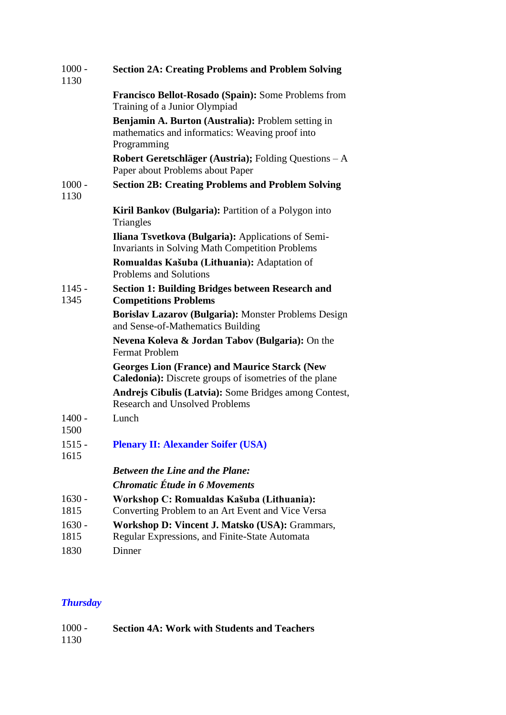| $1000 -$<br>1130 | <b>Section 2A: Creating Problems and Problem Solving</b>                                                              |  |
|------------------|-----------------------------------------------------------------------------------------------------------------------|--|
|                  | Francisco Bellot-Rosado (Spain): Some Problems from<br>Training of a Junior Olympiad                                  |  |
|                  | Benjamin A. Burton (Australia): Problem setting in<br>mathematics and informatics: Weaving proof into<br>Programming  |  |
|                  | Robert Geretschläger (Austria); Folding Questions – A<br>Paper about Problems about Paper                             |  |
| $1000 -$<br>1130 | <b>Section 2B: Creating Problems and Problem Solving</b>                                                              |  |
|                  | Kiril Bankov (Bulgaria): Partition of a Polygon into<br>Triangles                                                     |  |
|                  | Iliana Tsvetkova (Bulgaria): Applications of Semi-<br><b>Invariants in Solving Math Competition Problems</b>          |  |
|                  | Romualdas Kašuba (Lithuania): Adaptation of<br>Problems and Solutions                                                 |  |
| $1145 -$<br>1345 | <b>Section 1: Building Bridges between Research and</b><br><b>Competitions Problems</b>                               |  |
|                  | Borislav Lazarov (Bulgaria): Monster Problems Design<br>and Sense-of-Mathematics Building                             |  |
|                  | Nevena Koleva & Jordan Tabov (Bulgaria): On the<br><b>Fermat Problem</b>                                              |  |
|                  | <b>Georges Lion (France) and Maurice Starck (New</b><br><b>Caledonia):</b> Discrete groups of isometries of the plane |  |
|                  | Andrejs Cibulis (Latvia): Some Bridges among Contest,<br><b>Research and Unsolved Problems</b>                        |  |
| $1400 -$<br>1500 | Lunch                                                                                                                 |  |
| $1515 -$<br>1615 | <b>Plenary II: Alexander Soifer (USA)</b>                                                                             |  |
|                  | <b>Between the Line and the Plane:</b>                                                                                |  |
|                  | <b>Chromatic Étude in 6 Movements</b>                                                                                 |  |
| $1630 -$         | Workshop C: Romualdas Kašuba (Lithuania):                                                                             |  |
| 1815             | Converting Problem to an Art Event and Vice Versa                                                                     |  |
| $1630 -$         | Workshop D: Vincent J. Matsko (USA): Grammars,                                                                        |  |
| 1815             | Regular Expressions, and Finite-State Automata                                                                        |  |
| 1830             | Dinner                                                                                                                |  |

## *Thursday*

| $1000 -$ | <b>Section 4A: Work with Students and Teachers</b> |
|----------|----------------------------------------------------|
| 1130     |                                                    |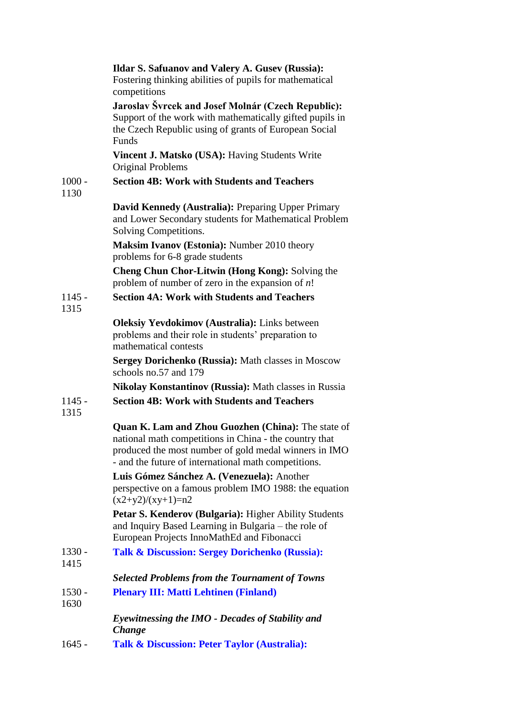|                  | <b>Ildar S. Safuanov and Valery A. Gusev (Russia):</b><br>Fostering thinking abilities of pupils for mathematical<br>competitions                                                                                                    |
|------------------|--------------------------------------------------------------------------------------------------------------------------------------------------------------------------------------------------------------------------------------|
|                  | Jaroslav Švrcek and Josef Molnár (Czech Republic):<br>Support of the work with mathematically gifted pupils in<br>the Czech Republic using of grants of European Social<br>Funds                                                     |
|                  | Vincent J. Matsko (USA): Having Students Write<br>Original Problems                                                                                                                                                                  |
| $1000 -$<br>1130 | <b>Section 4B: Work with Students and Teachers</b>                                                                                                                                                                                   |
|                  | David Kennedy (Australia): Preparing Upper Primary<br>and Lower Secondary students for Mathematical Problem<br>Solving Competitions.                                                                                                 |
|                  | <b>Maksim Ivanov (Estonia): Number 2010 theory</b><br>problems for 6-8 grade students                                                                                                                                                |
|                  | <b>Cheng Chun Chor-Litwin (Hong Kong):</b> Solving the<br>problem of number of zero in the expansion of $n!$                                                                                                                         |
| $1145 -$<br>1315 | <b>Section 4A: Work with Students and Teachers</b>                                                                                                                                                                                   |
|                  | <b>Oleksiy Yevdokimov (Australia):</b> Links between<br>problems and their role in students' preparation to<br>mathematical contests                                                                                                 |
|                  | Sergey Dorichenko (Russia): Math classes in Moscow<br>schools no.57 and 179                                                                                                                                                          |
|                  | <b>Nikolay Konstantinov (Russia):</b> Math classes in Russia                                                                                                                                                                         |
| $1145 -$<br>1315 | <b>Section 4B: Work with Students and Teachers</b>                                                                                                                                                                                   |
|                  | <b>Quan K. Lam and Zhou Guozhen (China):</b> The state of<br>national math competitions in China - the country that<br>produced the most number of gold medal winners in IMO<br>- and the future of international math competitions. |
|                  | Luis Gómez Sánchez A. (Venezuela): Another<br>perspective on a famous problem IMO 1988: the equation<br>$(x2+y2)/(xy+1)=n2$                                                                                                          |
|                  | Petar S. Kenderov (Bulgaria): Higher Ability Students<br>and Inquiry Based Learning in Bulgaria – the role of<br>European Projects InnoMathEd and Fibonacci                                                                          |
| 1330 -<br>1415   | <b>Talk &amp; Discussion: Sergey Dorichenko (Russia):</b>                                                                                                                                                                            |
|                  | <b>Selected Problems from the Tournament of Towns</b>                                                                                                                                                                                |
| 1530 -<br>1630   | <b>Plenary III: Matti Lehtinen (Finland)</b>                                                                                                                                                                                         |
|                  | Eyewitnessing the IMO - Decades of Stability and<br><b>Change</b>                                                                                                                                                                    |
| $1645 -$         | <b>Talk &amp; Discussion: Peter Taylor (Australia):</b>                                                                                                                                                                              |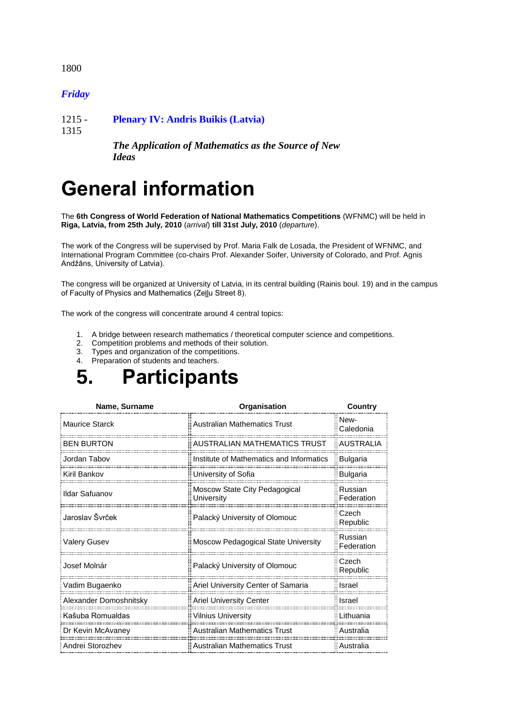1800

#### *Friday*

1215 - **Plenary IV: Andris Buikis (Latvia)**

1315

*The Application of Mathematics as the Source of New Ideas*

# **General information**

The **6th Congress of World Federation of National Mathematics Competitions** (WFNMC) will be held in **Riga, Latvia, from 25th July, 2010** (*arrival*) **till 31st July, 2010** (*departure*).

The work of the Congress will be supervised by Prof. Maria Falk de Losada, the President of WFNMC, and International Program Committee (co-chairs Prof. Alexander Soifer, University of Colorado, and Prof. Agnis Andžāns, University of Latvia).

The congress will be organized at University of Latvia, in its central building (Rainis boul. 19) and in the campus of Faculty of Physics and Mathematics (Zeļļu Street 8).

The work of the congress will concentrate around 4 central topics:

- 1. A bridge between research mathematics / theoretical computer science and competitions.
- 2. Competition problems and methods of their solution.
- 3. Types and organization of the competitions.
- 4. Preparation of students and teachers.



| Name, Surname          | Organisation                                | Country               |
|------------------------|---------------------------------------------|-----------------------|
| <b>Maurice Starck</b>  | <b>Australian Mathematics Trust</b>         | New-<br>Caledonia     |
| <b>BEN BURTON</b>      | AUSTRALIAN MATHEMATICS TRUST                | <b>AUSTRALIA</b>      |
| Jordan Tabov           | Institute of Mathematics and Informatics    | <b>Bulgaria</b>       |
| Kiril Bankov           | University of Sofia                         | <b>Bulgaria</b>       |
| Ildar Safuanov         | Moscow State City Pedagogical<br>University | Russian<br>Federation |
| Jaroslav Švrček        | Palacký University of Olomouc               | Czech<br>Republic     |
| <b>Valery Gusev</b>    | Moscow Pedagogical State University         | Russian<br>Federation |
| Josef Molnár           | Palacký University of Olomouc               | Czech<br>Republic     |
| Vadim Bugaenko         | Ariel University Center of Samaria          | Israel                |
| Alexander Domoshnitsky | <b>Ariel University Center</b>              | Israel                |
| Kašuba Romualdas       | <b>Vilnius University</b>                   | Lithuania             |
| Dr Kevin McAvaney      | <b>Australian Mathematics Trust</b>         | Australia             |
| Andrei Storozhev       | <b>Australian Mathematics Trust</b>         | Australia             |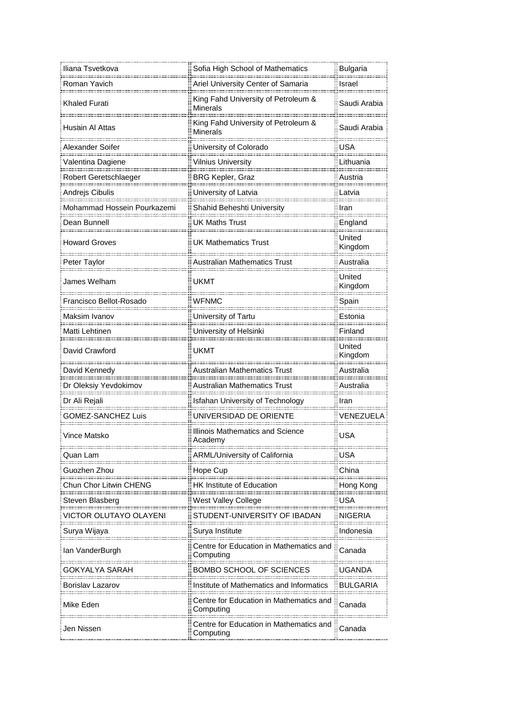| Iliana Tsvetkova            | Sofia High School of Mathematics                       | <b>Bulgaria</b>     |
|-----------------------------|--------------------------------------------------------|---------------------|
| Roman Yavich                | Ariel University Center of Samaria                     | Israel              |
| <b>Khaled Furati</b>        | King Fahd University of Petroleum &<br><b>Minerals</b> | Saudi Arabia        |
| Husain Al Attas             | King Fahd University of Petroleum &<br>Minerals        | Saudi Arabia        |
| Alexander Soifer            | University of Colorado                                 | USA                 |
| Valentina Dagiene           | <b>Vilnius University</b>                              | Lithuania           |
| Robert Geretschlaeger       | <b>BRG Kepler, Graz</b>                                | Austria             |
|                             | University of Latvia                                   | Latvia<br><u></u> . |
| Mohammad Hossein Pourkazemi | Shahid Beheshti University                             | Iran                |
| Dean Bunnell                | <b>UK Maths Trust</b>                                  | England             |
| Howard Groves               | <b>UK Mathematics Trust</b>                            | United<br>Kingdom   |
| Peter Taylor                | <b>Australian Mathematics Trust</b>                    | Australia           |
| James Welham                | <b>UKMT</b>                                            | United<br>Kingdom   |
| Francisco Bellot-Rosado     | <b>WFNMC</b>                                           | Spain               |
| Maksim Ivanov<br>           | University of Tartu                                    | Estonia             |
| Matti Lehtinen              | University of Helsinki                                 | Finland             |
| David Crawford              | <b>UKMT</b>                                            | United<br>Kingdom   |
| David Kennedy               | <b>Australian Mathematics Trust</b>                    | Australia           |
| Dr Oleksiy Yevdokimov       | <b>Australian Mathematics Trust</b>                    | Australia           |
| Dr Ali Rejali               | Isfahan University of Technology                       | Iran                |
| <b>GOMEZ-SANCHEZ Luis</b>   | UNIVERSIDAD DE ORIENTE                                 | VENEZUELA           |
| Vince Matsko                | Illinois Mathematics and Science<br>Academy            | <b>USA</b>          |
| <br>Quan Lam                | <b>ARML/University of California</b>                   | USA                 |
| Guozhen Zhou<br>            | Hope Cup                                               | China               |
| Chun Chor Litwin CHENG      | HK Institute of Education<br>                          | Hong Kong           |
| Steven Blasberg             | West Valley College                                    | USA                 |
| VICTOR OLUTAYO OLAYENI      | STUDENT-UNIVERSITY OF IBADAN                           | NIGERIA             |
| Surya Wijaya                | Surya Institute                                        | Indonesia           |
| lan VanderBurgh             | Centre for Education in Mathematics and<br>Computing   | Canada              |
| GOKYALYA SARAH              | BOMBO SCHOOL OF SCIENCES                               | UGANDA              |
| Borislav Lazarov            | Institute of Mathematics and Informatics               | BULGARIA            |
| Mike Eden                   | Centre for Education in Mathematics and<br>Computing   | Canada              |
| Jen Nissen                  | Centre for Education in Mathematics and<br>Computing   | Canada              |